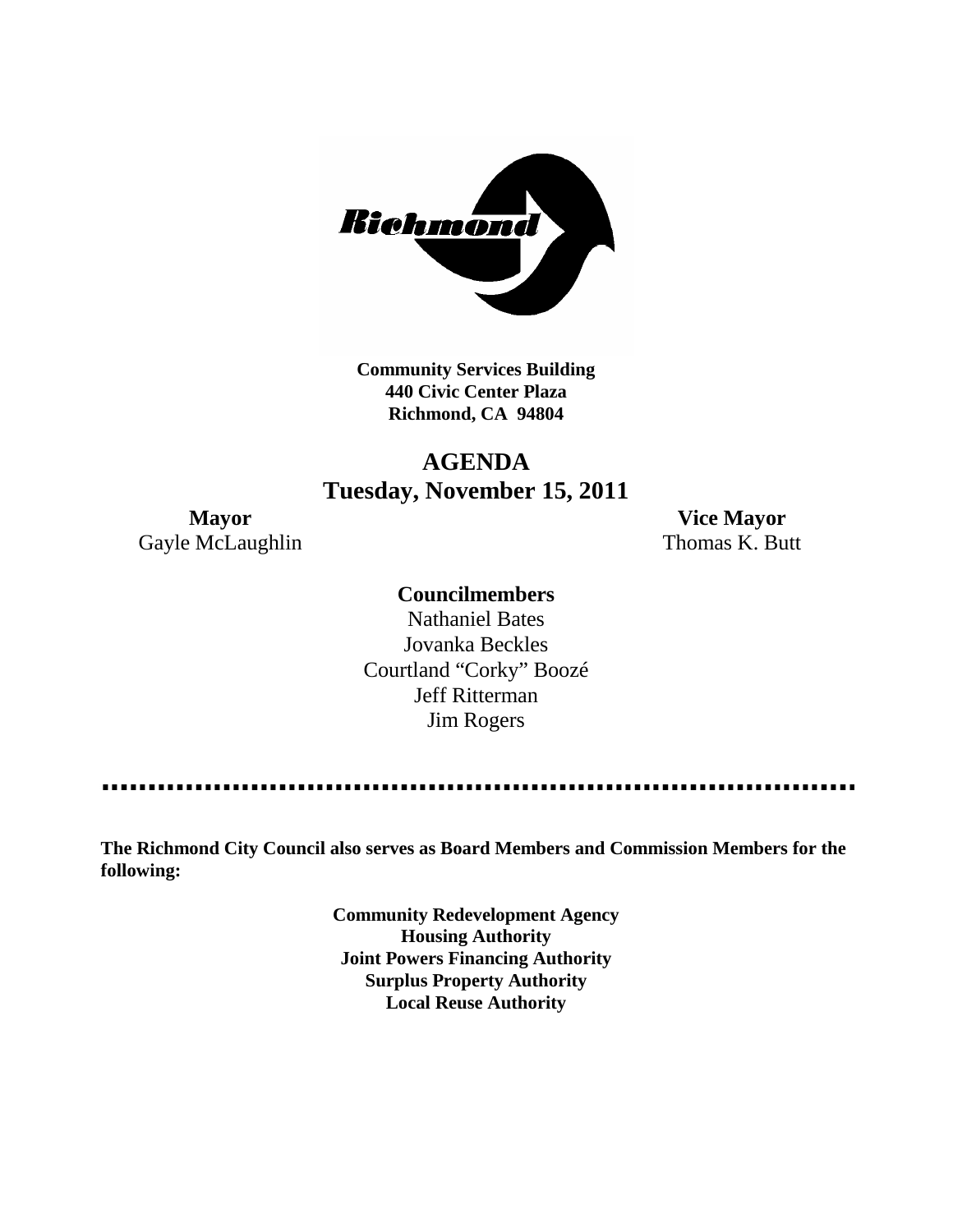

**Community Services Building 440 Civic Center Plaza Richmond, CA 94804**

# **AGENDA Tuesday, November 15, 2011**

Gayle McLaughlin Thomas K. Butt

**Mayor Vice Mayor**

## **Councilmembers**

Nathaniel Bates Jovanka Beckles Courtland "Corky" Boozé Jeff Ritterman Jim Rogers

---------------

**The Richmond City Council also serves as Board Members and Commission Members for the following:**

> **Community Redevelopment Agency Housing Authority Joint Powers Financing Authority Surplus Property Authority Local Reuse Authority**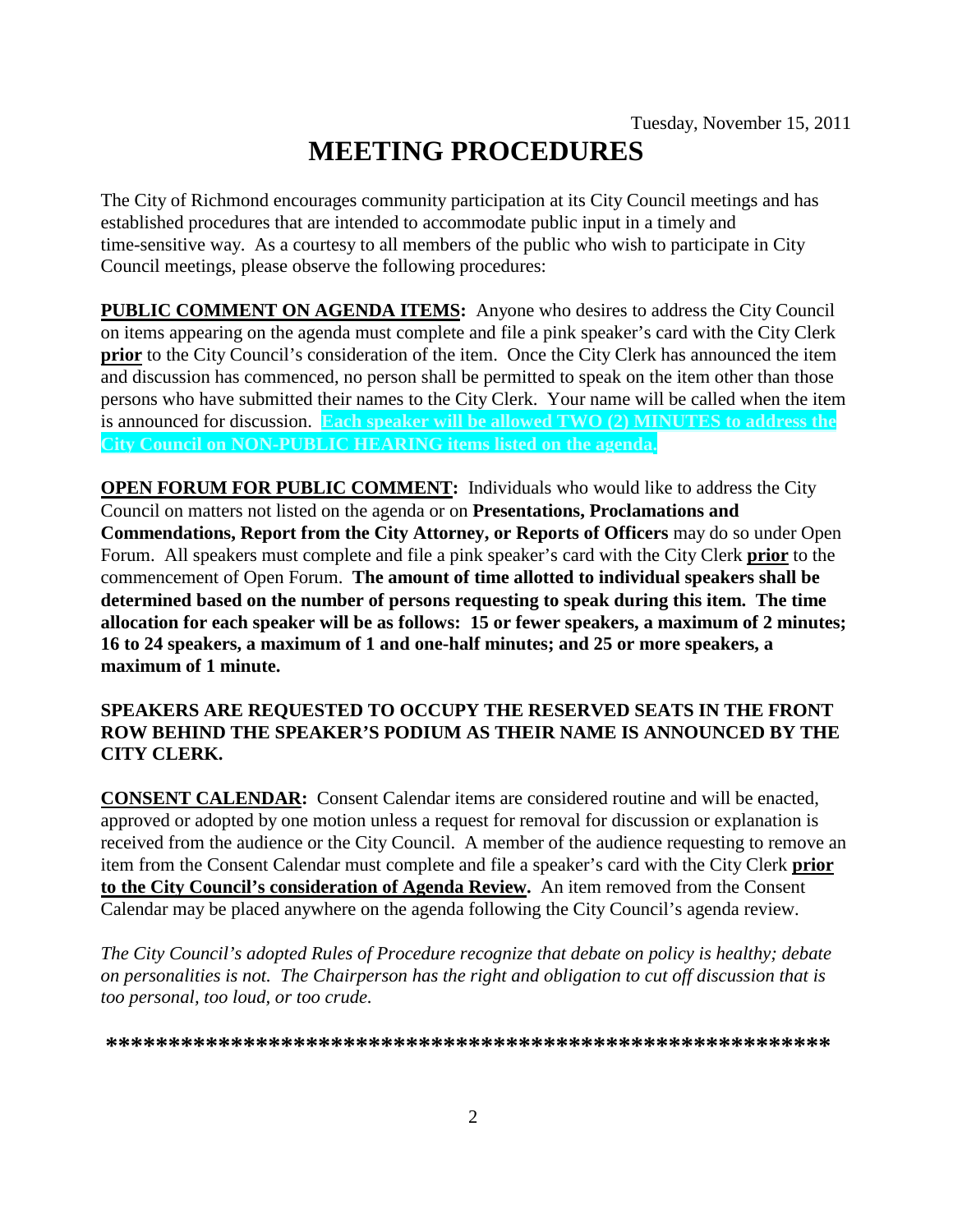# **MEETING PROCEDURES**

The City of Richmond encourages community participation at its City Council meetings and has established procedures that are intended to accommodate public input in a timely and time-sensitive way. As a courtesy to all members of the public who wish to participate in City Council meetings, please observe the following procedures:

**PUBLIC COMMENT ON AGENDA ITEMS:** Anyone who desires to address the City Council on items appearing on the agenda must complete and file a pink speaker's card with the City Clerk **prior** to the City Council's consideration of the item. Once the City Clerk has announced the item and discussion has commenced, no person shall be permitted to speak on the item other than those persons who have submitted their names to the City Clerk. Your name will be called when the item is announced for discussion. **Each speaker will be allowed TWO (2) MINUTES to address the City Council on NON-PUBLIC HEARING items listed on the agenda.**

**OPEN FORUM FOR PUBLIC COMMENT:** Individuals who would like to address the City Council on matters not listed on the agenda or on **Presentations, Proclamations and Commendations, Report from the City Attorney, or Reports of Officers** may do so under Open Forum. All speakers must complete and file a pink speaker's card with the City Clerk **prior** to the commencement of Open Forum. **The amount of time allotted to individual speakers shall be determined based on the number of persons requesting to speak during this item. The time allocation for each speaker will be as follows: 15 or fewer speakers, a maximum of 2 minutes; 16 to 24 speakers, a maximum of 1 and one-half minutes; and 25 or more speakers, a maximum of 1 minute.**

#### **SPEAKERS ARE REQUESTED TO OCCUPY THE RESERVED SEATS IN THE FRONT ROW BEHIND THE SPEAKER'S PODIUM AS THEIR NAME IS ANNOUNCED BY THE CITY CLERK.**

**CONSENT CALENDAR:** Consent Calendar items are considered routine and will be enacted, approved or adopted by one motion unless a request for removal for discussion or explanation is received from the audience or the City Council. A member of the audience requesting to remove an item from the Consent Calendar must complete and file a speaker's card with the City Clerk **prior to the City Council's consideration of Agenda Review.** An item removed from the Consent Calendar may be placed anywhere on the agenda following the City Council's agenda review.

*The City Council's adopted Rules of Procedure recognize that debate on policy is healthy; debate on personalities is not. The Chairperson has the right and obligation to cut off discussion that is too personal, too loud, or too crude.*

**\*\*\*\*\*\*\*\*\*\*\*\*\*\*\*\*\*\*\*\*\*\*\*\*\*\*\*\*\*\*\*\*\*\*\*\*\*\*\*\*\*\*\*\*\*\*\*\*\*\*\*\*\*\*\*\*\*\***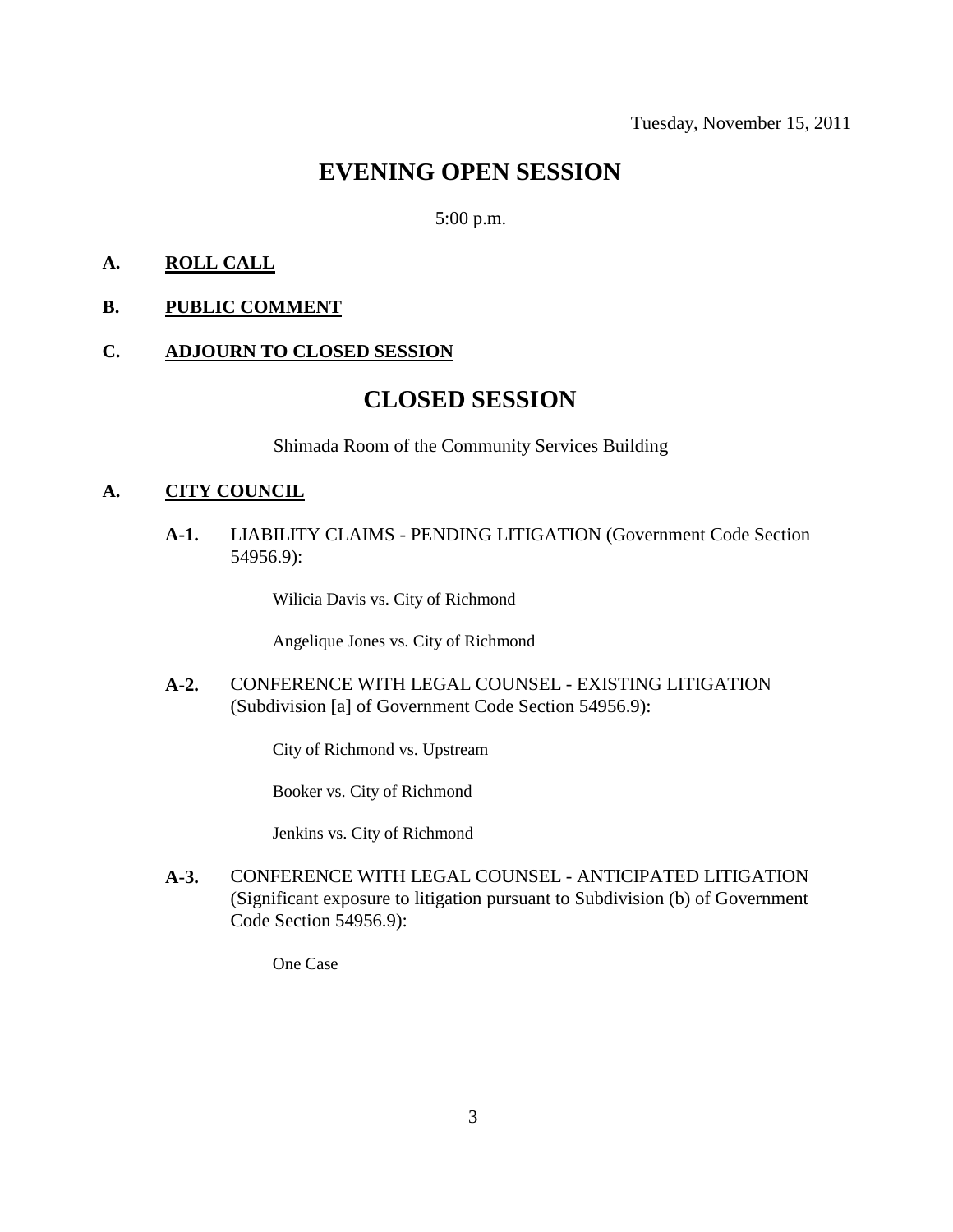# **EVENING OPEN SESSION**

#### 5:00 p.m.

#### **A. ROLL CALL**

**B. PUBLIC COMMENT**

#### **C. ADJOURN TO CLOSED SESSION**

# **CLOSED SESSION**

Shimada Room of the Community Services Building

#### **A. CITY COUNCIL**

**A-1.** LIABILITY CLAIMS - PENDING LITIGATION (Government Code Section 54956.9):

Wilicia Davis vs. City of Richmond

Angelique Jones vs. City of Richmond

**A-2.** CONFERENCE WITH LEGAL COUNSEL - EXISTING LITIGATION (Subdivision [a] of Government Code Section 54956.9):

City of Richmond vs. Upstream

Booker vs. City of Richmond

Jenkins vs. City of Richmond

**A-3.** CONFERENCE WITH LEGAL COUNSEL - ANTICIPATED LITIGATION (Significant exposure to litigation pursuant to Subdivision (b) of Government Code Section 54956.9):

One Case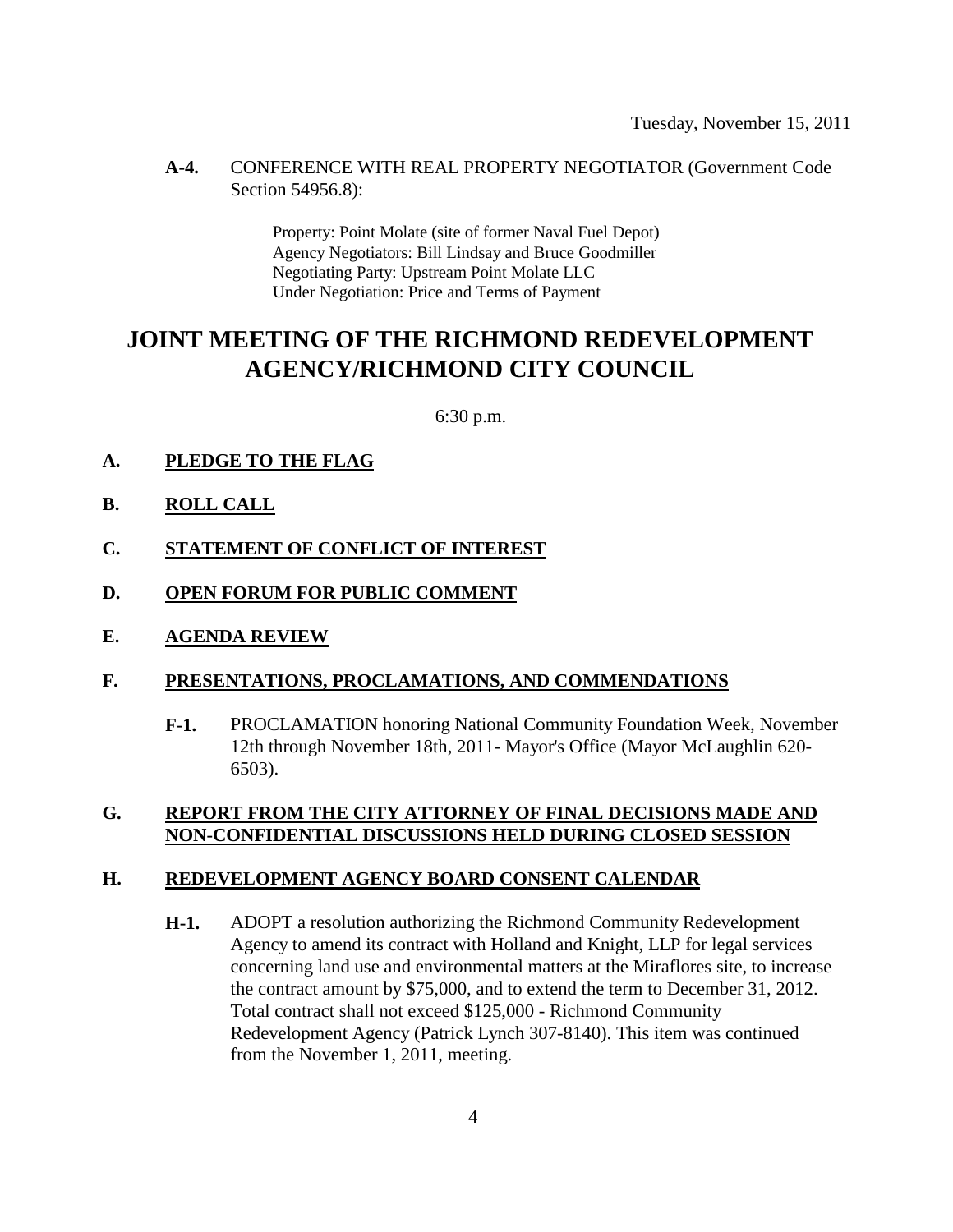#### **A-4.** CONFERENCE WITH REAL PROPERTY NEGOTIATOR (Government Code Section 54956.8):

Property: Point Molate (site of former Naval Fuel Depot) Agency Negotiators: Bill Lindsay and Bruce Goodmiller Negotiating Party: Upstream Point Molate LLC Under Negotiation: Price and Terms of Payment

# **JOINT MEETING OF THE RICHMOND REDEVELOPMENT AGENCY/RICHMOND CITY COUNCIL**

6:30 p.m.

- **A. PLEDGE TO THE FLAG**
- **B. ROLL CALL**
- **C. STATEMENT OF CONFLICT OF INTEREST**
- **D. OPEN FORUM FOR PUBLIC COMMENT**
- **E. AGENDA REVIEW**

#### **F. PRESENTATIONS, PROCLAMATIONS, AND COMMENDATIONS**

**F-1.** PROCLAMATION honoring National Community Foundation Week, November 12th through November 18th, 2011- Mayor's Office (Mayor McLaughlin 620- 6503).

#### **G. REPORT FROM THE CITY ATTORNEY OF FINAL DECISIONS MADE AND NON-CONFIDENTIAL DISCUSSIONS HELD DURING CLOSED SESSION**

#### **H. REDEVELOPMENT AGENCY BOARD CONSENT CALENDAR**

**H-1.** ADOPT a resolution authorizing the Richmond Community Redevelopment Agency to amend its contract with Holland and Knight, LLP for legal services concerning land use and environmental matters at the Miraflores site, to increase the contract amount by \$75,000, and to extend the term to December 31, 2012. Total contract shall not exceed \$125,000 - Richmond Community Redevelopment Agency (Patrick Lynch 307-8140). This item was continued from the November 1, 2011, meeting.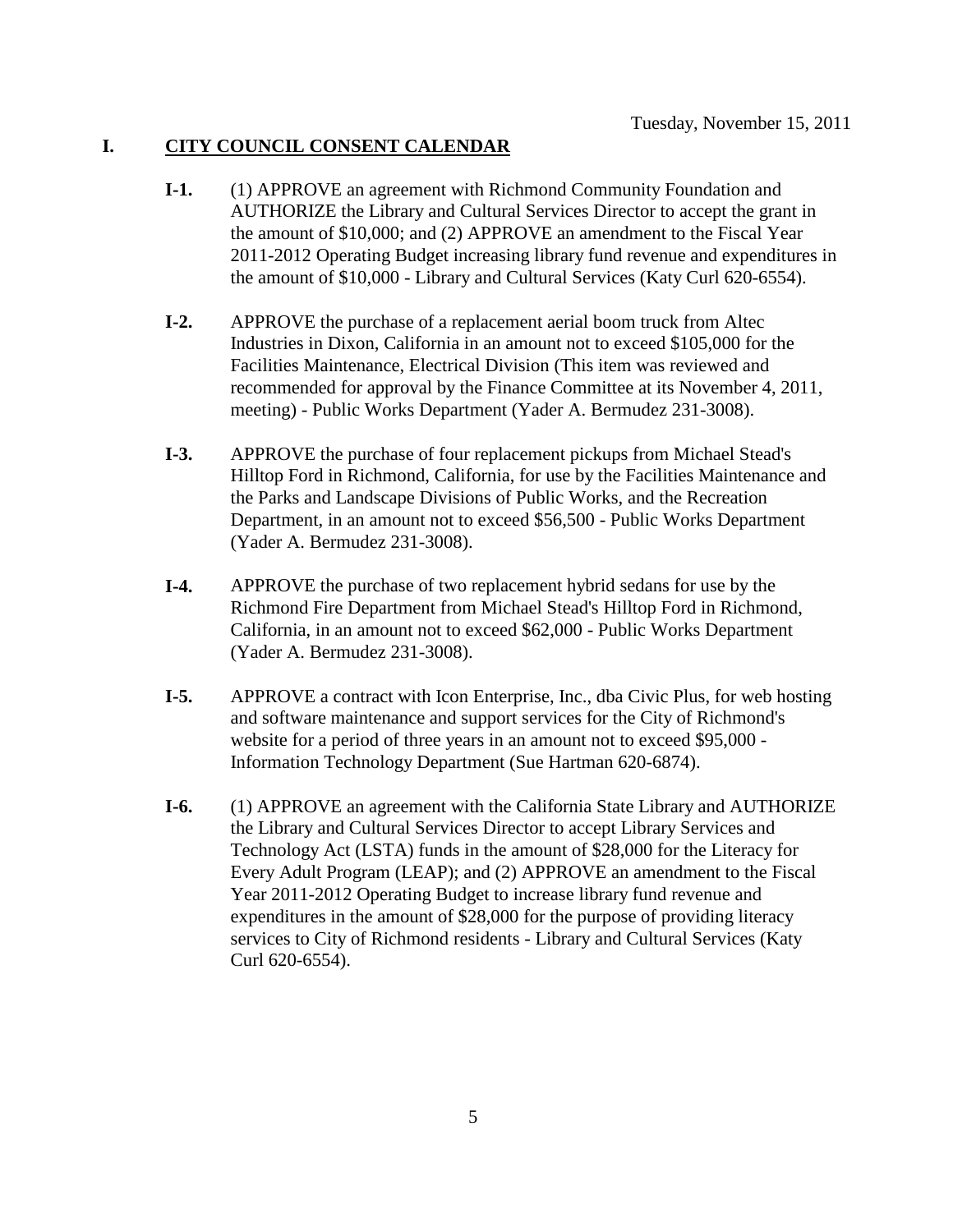#### **I. CITY COUNCIL CONSENT CALENDAR**

- **I-1.** (1) APPROVE an agreement with Richmond Community Foundation and AUTHORIZE the Library and Cultural Services Director to accept the grant in the amount of \$10,000; and (2) APPROVE an amendment to the Fiscal Year 2011-2012 Operating Budget increasing library fund revenue and expenditures in the amount of \$10,000 - Library and Cultural Services (Katy Curl 620-6554).
- **I-2.** APPROVE the purchase of a replacement aerial boom truck from Altec Industries in Dixon, California in an amount not to exceed \$105,000 for the Facilities Maintenance, Electrical Division (This item was reviewed and recommended for approval by the Finance Committee at its November 4, 2011, meeting) - Public Works Department (Yader A. Bermudez 231-3008).
- **I-3.** APPROVE the purchase of four replacement pickups from Michael Stead's Hilltop Ford in Richmond, California, for use by the Facilities Maintenance and the Parks and Landscape Divisions of Public Works, and the Recreation Department, in an amount not to exceed \$56,500 - Public Works Department (Yader A. Bermudez 231-3008).
- **I-4.** APPROVE the purchase of two replacement hybrid sedans for use by the Richmond Fire Department from Michael Stead's Hilltop Ford in Richmond, California, in an amount not to exceed \$62,000 - Public Works Department (Yader A. Bermudez 231-3008).
- **I-5.** APPROVE a contract with Icon Enterprise, Inc., dba Civic Plus, for web hosting and software maintenance and support services for the City of Richmond's website for a period of three years in an amount not to exceed \$95,000 - Information Technology Department (Sue Hartman 620-6874).
- **I-6.** (1) APPROVE an agreement with the California State Library and AUTHORIZE the Library and Cultural Services Director to accept Library Services and Technology Act (LSTA) funds in the amount of \$28,000 for the Literacy for Every Adult Program (LEAP); and (2) APPROVE an amendment to the Fiscal Year 2011-2012 Operating Budget to increase library fund revenue and expenditures in the amount of \$28,000 for the purpose of providing literacy services to City of Richmond residents - Library and Cultural Services (Katy Curl 620-6554).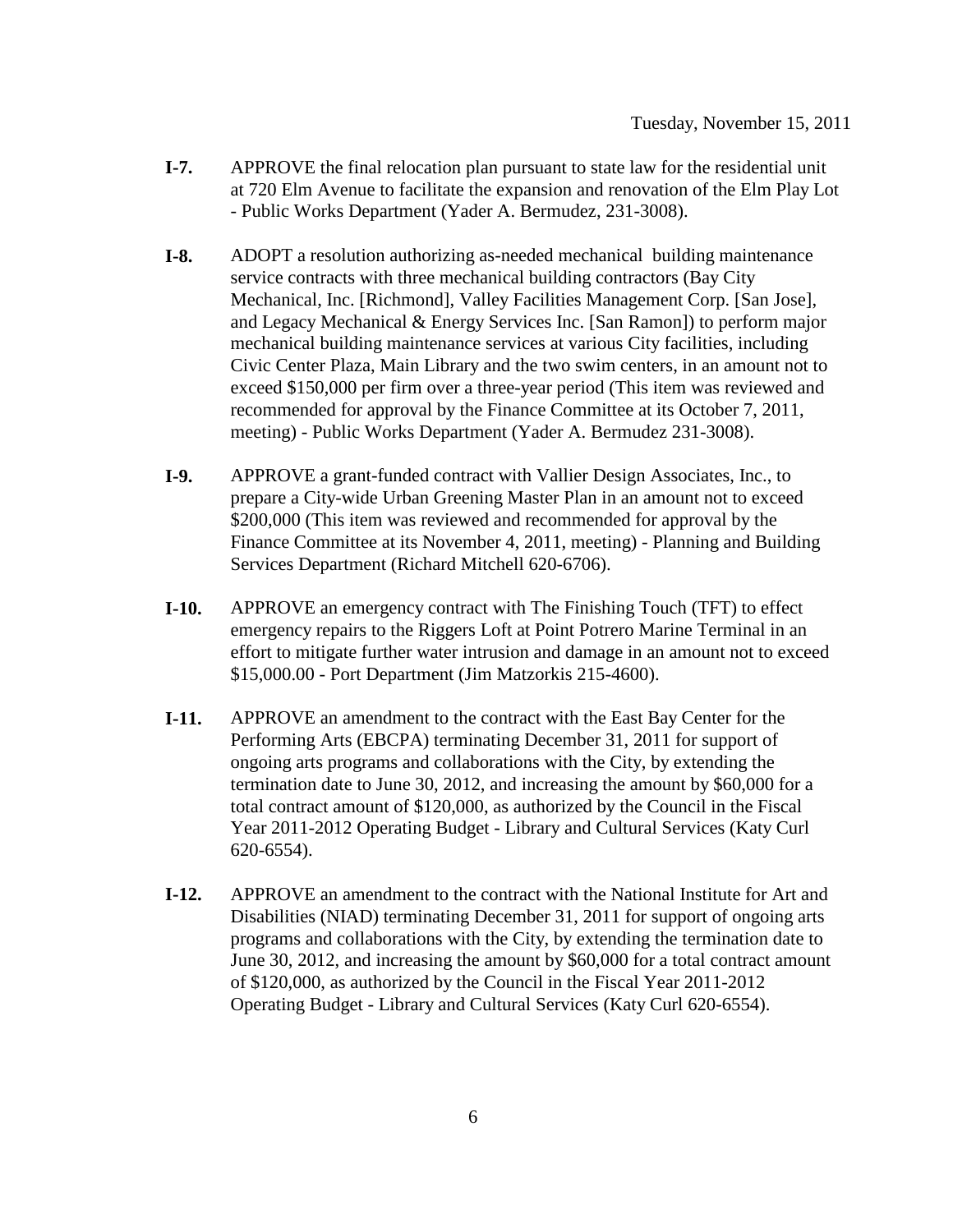- **I-7.** APPROVE the final relocation plan pursuant to state law for the residential unit at 720 Elm Avenue to facilitate the expansion and renovation of the Elm Play Lot - Public Works Department (Yader A. Bermudez, 231-3008).
- **I-8.** ADOPT a resolution authorizing as-needed mechanical building maintenance service contracts with three mechanical building contractors (Bay City Mechanical, Inc. [Richmond], Valley Facilities Management Corp. [San Jose], and Legacy Mechanical & Energy Services Inc. [San Ramon]) to perform major mechanical building maintenance services at various City facilities, including Civic Center Plaza, Main Library and the two swim centers, in an amount not to exceed \$150,000 per firm over a three-year period (This item was reviewed and recommended for approval by the Finance Committee at its October 7, 2011, meeting) - Public Works Department (Yader A. Bermudez 231-3008).
- **I-9.** APPROVE a grant-funded contract with Vallier Design Associates, Inc., to prepare a City-wide Urban Greening Master Plan in an amount not to exceed \$200,000 (This item was reviewed and recommended for approval by the Finance Committee at its November 4, 2011, meeting) - Planning and Building Services Department (Richard Mitchell 620-6706).
- **I-10.** APPROVE an emergency contract with The Finishing Touch (TFT) to effect emergency repairs to the Riggers Loft at Point Potrero Marine Terminal in an effort to mitigate further water intrusion and damage in an amount not to exceed \$15,000.00 - Port Department (Jim Matzorkis 215-4600).
- **I-11.** APPROVE an amendment to the contract with the East Bay Center for the Performing Arts (EBCPA) terminating December 31, 2011 for support of ongoing arts programs and collaborations with the City, by extending the termination date to June 30, 2012, and increasing the amount by \$60,000 for a total contract amount of \$120,000, as authorized by the Council in the Fiscal Year 2011-2012 Operating Budget - Library and Cultural Services (Katy Curl 620-6554).
- **I-12.** APPROVE an amendment to the contract with the National Institute for Art and Disabilities (NIAD) terminating December 31, 2011 for support of ongoing arts programs and collaborations with the City, by extending the termination date to June 30, 2012, and increasing the amount by \$60,000 for a total contract amount of \$120,000, as authorized by the Council in the Fiscal Year 2011-2012 Operating Budget - Library and Cultural Services (Katy Curl 620-6554).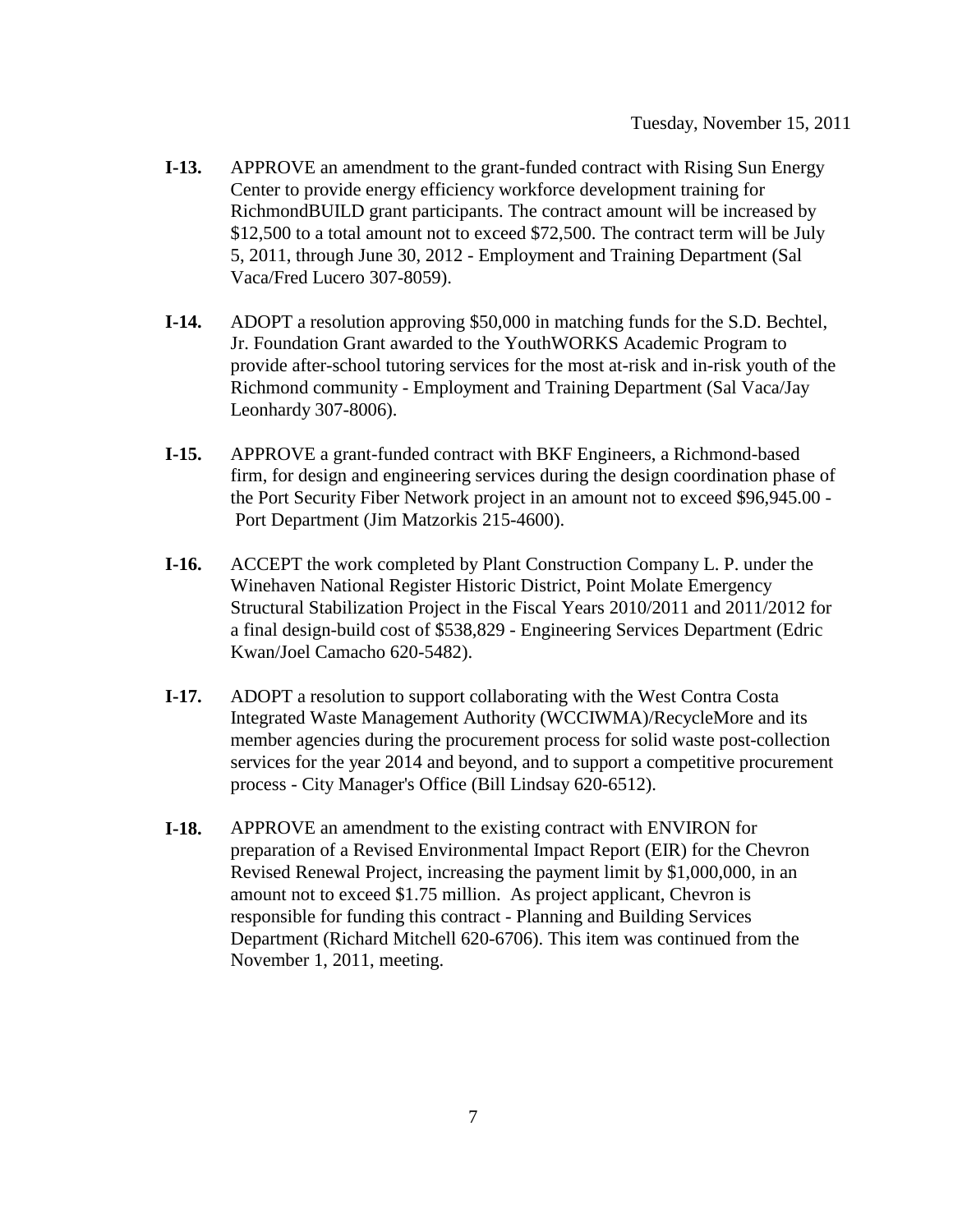- **I-13.** APPROVE an amendment to the grant-funded contract with Rising Sun Energy Center to provide energy efficiency workforce development training for RichmondBUILD grant participants. The contract amount will be increased by \$12,500 to a total amount not to exceed \$72,500. The contract term will be July 5, 2011, through June 30, 2012 - Employment and Training Department (Sal Vaca/Fred Lucero 307-8059).
- **I-14.** ADOPT a resolution approving \$50,000 in matching funds for the S.D. Bechtel, Jr. Foundation Grant awarded to the YouthWORKS Academic Program to provide after-school tutoring services for the most at-risk and in-risk youth of the Richmond community - Employment and Training Department (Sal Vaca/Jay Leonhardy 307-8006).
- **I-15.** APPROVE a grant-funded contract with BKF Engineers, a Richmond-based firm, for design and engineering services during the design coordination phase of the Port Security Fiber Network project in an amount not to exceed \$96,945.00 - Port Department (Jim Matzorkis 215-4600).
- **I-16.** ACCEPT the work completed by Plant Construction Company L. P. under the Winehaven National Register Historic District, Point Molate Emergency Structural Stabilization Project in the Fiscal Years 2010/2011 and 2011/2012 for a final design-build cost of \$538,829 - Engineering Services Department (Edric Kwan/Joel Camacho 620-5482).
- **I-17.** ADOPT a resolution to support collaborating with the West Contra Costa Integrated Waste Management Authority (WCCIWMA)/RecycleMore and its member agencies during the procurement process for solid waste post-collection services for the year 2014 and beyond, and to support a competitive procurement process - City Manager's Office (Bill Lindsay 620-6512).
- **I-18.** APPROVE an amendment to the existing contract with ENVIRON for preparation of a Revised Environmental Impact Report (EIR) for the Chevron Revised Renewal Project, increasing the payment limit by \$1,000,000, in an amount not to exceed \$1.75 million. As project applicant, Chevron is responsible for funding this contract - Planning and Building Services Department (Richard Mitchell 620-6706). This item was continued from the November 1, 2011, meeting.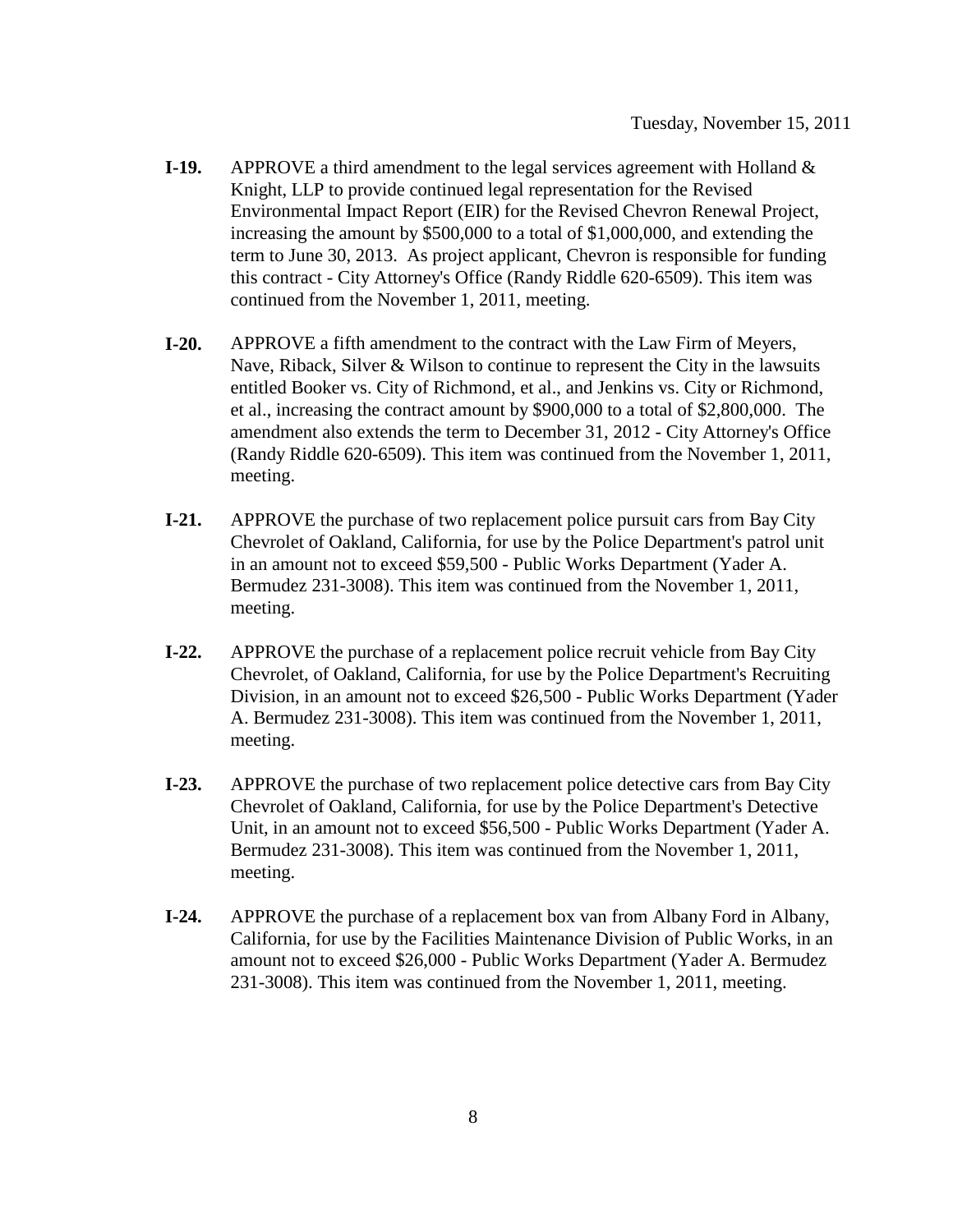- **I-19.** APPROVE a third amendment to the legal services agreement with Holland & Knight, LLP to provide continued legal representation for the Revised Environmental Impact Report (EIR) for the Revised Chevron Renewal Project, increasing the amount by \$500,000 to a total of \$1,000,000, and extending the term to June 30, 2013. As project applicant, Chevron is responsible for funding this contract - City Attorney's Office (Randy Riddle 620-6509). This item was continued from the November 1, 2011, meeting.
- **I-20.** APPROVE a fifth amendment to the contract with the Law Firm of Meyers, Nave, Riback, Silver & Wilson to continue to represent the City in the lawsuits entitled Booker vs. City of Richmond, et al., and Jenkins vs. City or Richmond, et al., increasing the contract amount by \$900,000 to a total of \$2,800,000. The amendment also extends the term to December 31, 2012 - City Attorney's Office (Randy Riddle 620-6509). This item was continued from the November 1, 2011, meeting.
- **I-21.** APPROVE the purchase of two replacement police pursuit cars from Bay City Chevrolet of Oakland, California, for use by the Police Department's patrol unit in an amount not to exceed \$59,500 - Public Works Department (Yader A. Bermudez 231-3008). This item was continued from the November 1, 2011, meeting.
- **I-22.** APPROVE the purchase of a replacement police recruit vehicle from Bay City Chevrolet, of Oakland, California, for use by the Police Department's Recruiting Division, in an amount not to exceed \$26,500 - Public Works Department (Yader A. Bermudez 231-3008). This item was continued from the November 1, 2011, meeting.
- **I-23.** APPROVE the purchase of two replacement police detective cars from Bay City Chevrolet of Oakland, California, for use by the Police Department's Detective Unit, in an amount not to exceed \$56,500 - Public Works Department (Yader A. Bermudez 231-3008). This item was continued from the November 1, 2011, meeting.
- **I-24.** APPROVE the purchase of a replacement box van from Albany Ford in Albany, California, for use by the Facilities Maintenance Division of Public Works, in an amount not to exceed \$26,000 - Public Works Department (Yader A. Bermudez 231-3008). This item was continued from the November 1, 2011, meeting.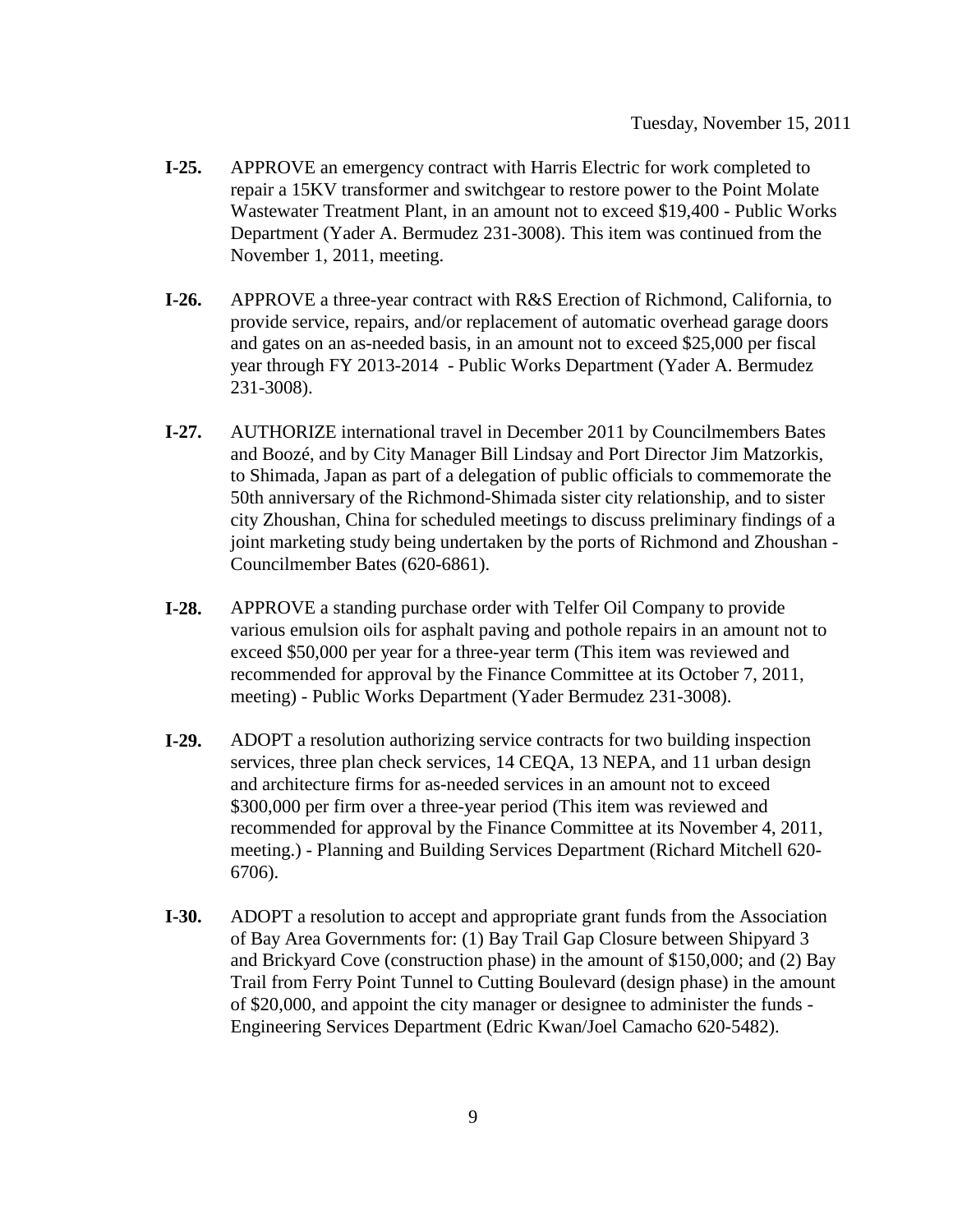- **I-25.** APPROVE an emergency contract with Harris Electric for work completed to repair a 15KV transformer and switchgear to restore power to the Point Molate Wastewater Treatment Plant, in an amount not to exceed \$19,400 - Public Works Department (Yader A. Bermudez 231-3008). This item was continued from the November 1, 2011, meeting.
- **I-26.** APPROVE a three-year contract with R&S Erection of Richmond, California, to provide service, repairs, and/or replacement of automatic overhead garage doors and gates on an as-needed basis, in an amount not to exceed \$25,000 per fiscal year through FY 2013-2014 - Public Works Department (Yader A. Bermudez 231-3008).
- **I-27.** AUTHORIZE international travel in December 2011 by Councilmembers Bates and Boozé, and by City Manager Bill Lindsay and Port Director Jim Matzorkis, to Shimada, Japan as part of a delegation of public officials to commemorate the 50th anniversary of the Richmond-Shimada sister city relationship, and to sister city Zhoushan, China for scheduled meetings to discuss preliminary findings of a joint marketing study being undertaken by the ports of Richmond and Zhoushan - Councilmember Bates (620-6861).
- **I-28.** APPROVE a standing purchase order with Telfer Oil Company to provide various emulsion oils for asphalt paving and pothole repairs in an amount not to exceed \$50,000 per year for a three-year term (This item was reviewed and recommended for approval by the Finance Committee at its October 7, 2011, meeting) - Public Works Department (Yader Bermudez 231-3008).
- **I-29.** ADOPT a resolution authorizing service contracts for two building inspection services, three plan check services, 14 CEQA, 13 NEPA, and 11 urban design and architecture firms for as-needed services in an amount not to exceed \$300,000 per firm over a three-year period (This item was reviewed and recommended for approval by the Finance Committee at its November 4, 2011, meeting.) - Planning and Building Services Department (Richard Mitchell 620- 6706).
- **I-30.** ADOPT a resolution to accept and appropriate grant funds from the Association of Bay Area Governments for: (1) Bay Trail Gap Closure between Shipyard 3 and Brickyard Cove (construction phase) in the amount of \$150,000; and (2) Bay Trail from Ferry Point Tunnel to Cutting Boulevard (design phase) in the amount of \$20,000, and appoint the city manager or designee to administer the funds - Engineering Services Department (Edric Kwan/Joel Camacho 620-5482).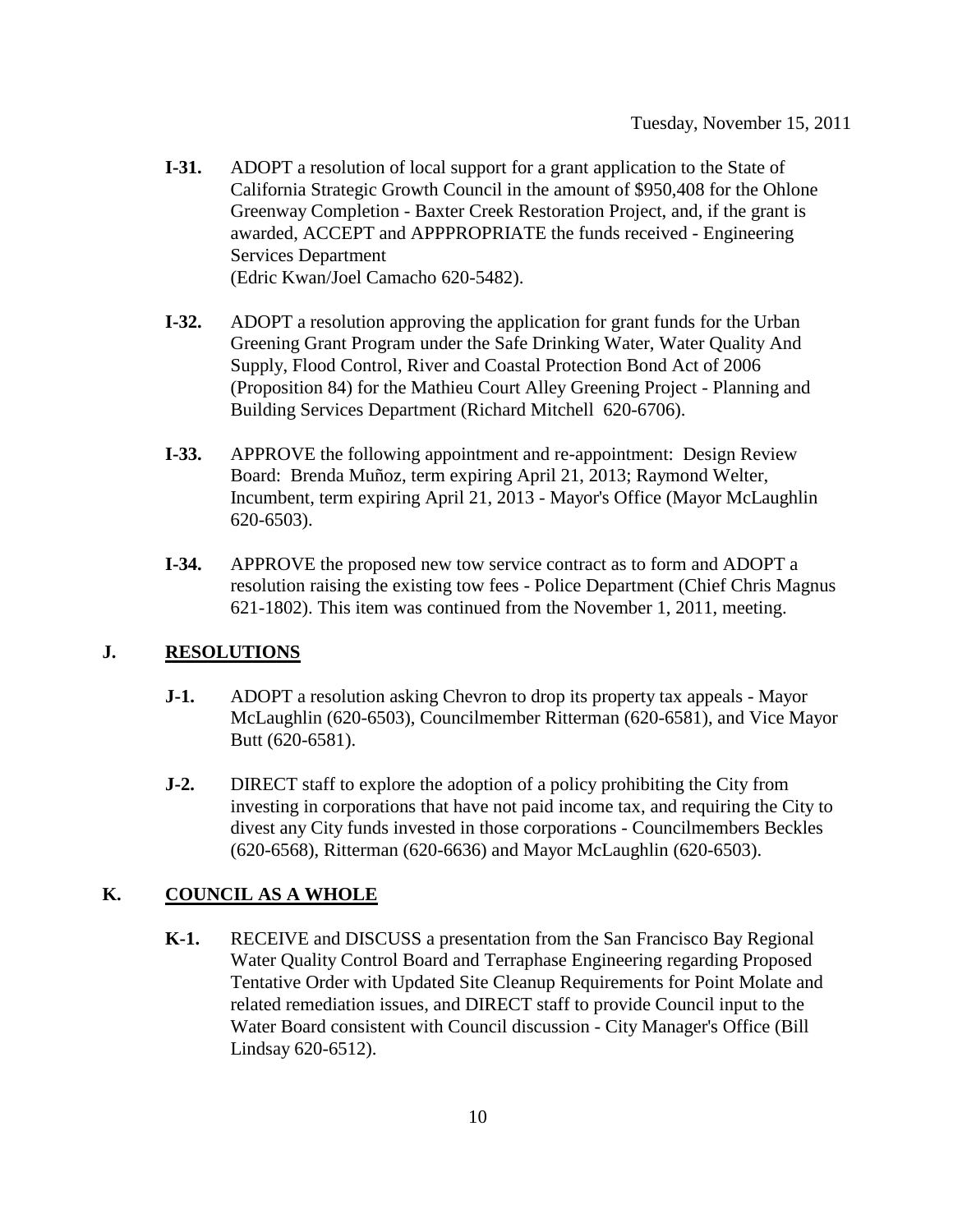- **I-31.** ADOPT a resolution of local support for a grant application to the State of California Strategic Growth Council in the amount of \$950,408 for the Ohlone Greenway Completion - Baxter Creek Restoration Project, and, if the grant is awarded, ACCEPT and APPPROPRIATE the funds received - Engineering Services Department (Edric Kwan/Joel Camacho 620-5482).
- **I-32.** ADOPT a resolution approving the application for grant funds for the Urban Greening Grant Program under the Safe Drinking Water, Water Quality And Supply, Flood Control, River and Coastal Protection Bond Act of 2006 (Proposition 84) for the Mathieu Court Alley Greening Project - Planning and Building Services Department (Richard Mitchell 620-6706).
- **I-33.** APPROVE the following appointment and re-appointment: Design Review Board: Brenda Muñoz, term expiring April 21, 2013; Raymond Welter, Incumbent, term expiring April 21, 2013 - Mayor's Office (Mayor McLaughlin 620-6503).
- **I-34.** APPROVE the proposed new tow service contract as to form and ADOPT a resolution raising the existing tow fees - Police Department (Chief Chris Magnus 621-1802). This item was continued from the November 1, 2011, meeting.

#### **J. RESOLUTIONS**

- **J-1.** ADOPT a resolution asking Chevron to drop its property tax appeals Mayor McLaughlin (620-6503), Councilmember Ritterman (620-6581), and Vice Mayor Butt (620-6581).
- **J-2.** DIRECT staff to explore the adoption of a policy prohibiting the City from investing in corporations that have not paid income tax, and requiring the City to divest any City funds invested in those corporations - Councilmembers Beckles (620-6568), Ritterman (620-6636) and Mayor McLaughlin (620-6503).

### **K. COUNCIL AS A WHOLE**

**K-1.** RECEIVE and DISCUSS a presentation from the San Francisco Bay Regional Water Quality Control Board and Terraphase Engineering regarding Proposed Tentative Order with Updated Site Cleanup Requirements for Point Molate and related remediation issues, and DIRECT staff to provide Council input to the Water Board consistent with Council discussion - City Manager's Office (Bill Lindsay 620-6512).